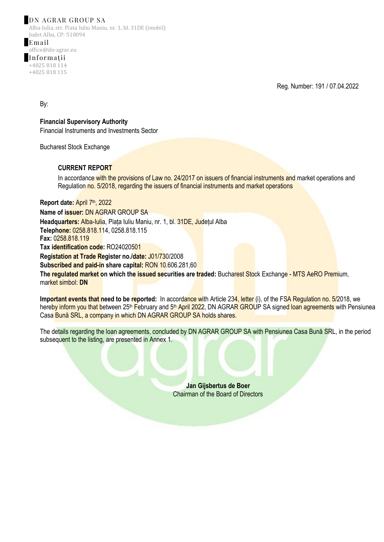## DN AGRAR GROUP SA

Alba-Iulia, str. Piata Iuliu Maniu, nr. 1, bl. 31DE (imobil) Judet Alba, CP: 510094

Email office@dn-agrar.eu Informații +4025 818 114 +4025 818 115

Reg. Number: 191 / 07.04.2022

By:

**Financial Supervisory Authority** Financial Instruments and Investments Sector

Bucharest Stock Exchange

## **CURRENT REPORT**

In accordance with the provisions of Law no. 24/2017 on issuers of financial instruments and market operations and Regulation no. 5/2018, regarding the issuers of financial instruments and market operations

**Report date:** April 7th, 2022 **Name of issuer:** DN AGRAR GROUP SA **Headquarters:** Alba-Iulia, Piața Iuliu Maniu, nr. 1, bl. 31DE, Județul Alba **Telephone:** 0258.818.114, 0258.818.115 **Fax:** 0258.818.119 **Tax identification code:** RO24020501 **Registation at Trade Register no./date:** J01/730/2008 **Subscribed and paid-in share capital:** RON 10.606.281,60 **The regulated market on which the issued securities are traded:** Bucharest Stock Exchange - MTS AeRO Premium, market simbol: **DN**

Important events that need to be reported: In accordance with Article 234, letter (i), of the FSA Regulation no. 5/2018, we hereby inform you that between 25<sup>th</sup> February and 5<sup>th</sup> April 2022, DN AGRAR GROUP SA signed loan agreements with Pensiunea Casa Bună SRL, a company in which DN AGRAR GROUP SA holds shares.

The details regarding the loan agreements, concluded by DN AGRAR GROUP SA with Pensiunea Casa Bună SRL, in the period subsequent to the listing, are presented in Annex 1.

> **Jan Gijsbertus de Boer** Chairman of the Board of Directors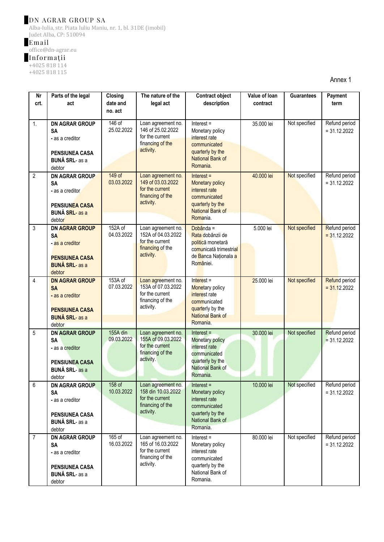# DN AGRAR GROUP SA

Alba-Iulia, str. Piata Iuliu Maniu, nr. 1, bl. 31DE (imobil) Judet Alba, CP: 510094

# Email

office@dn-agrar.eu

#### Informații

+4025 818 114

+4025 818 115

Annex 1

| Nr             | Parts of the legal                                                                                                | Closing                | The nature of the                                                                            | <b>Contract object</b>                                                                                                             | Value of Ioan | <b>Guarantees</b> | Payment                         |
|----------------|-------------------------------------------------------------------------------------------------------------------|------------------------|----------------------------------------------------------------------------------------------|------------------------------------------------------------------------------------------------------------------------------------|---------------|-------------------|---------------------------------|
| crt.           | act                                                                                                               | date and<br>no. act    | legal act                                                                                    | description                                                                                                                        | contract      |                   | term                            |
| 1.             | <b>DN AGRAR GROUP</b><br><b>SA</b><br>- as a creditor<br><b>PENSIUNEA CASA</b><br><b>BUNĂ SRL-</b> as a<br>debtor | 146 of<br>25.02.2022   | Loan agreement no.<br>146 of 25.02.2022<br>for the current<br>financing of the<br>activity.  | $Interest =$<br>Monetary policy<br>interest rate<br>communicated<br>quarterly by the<br>National Bank of<br>Romania.               | 35.000 lei    | Not specified     | Refund period<br>$= 31.12.2022$ |
| $\overline{2}$ | <b>DN AGRAR GROUP</b><br><b>SA</b><br>- as a creditor<br><b>PENSIUNEA CASA</b><br><b>BUNĂ SRL-as a</b><br>debtor  | $149$ of<br>03.03.2022 | Loan agreement no.<br>149 of 03.03.2022<br>for the current<br>financing of the<br>activity.  | $Interest =$<br>Monetary policy<br>interest rate<br>communicated<br>quarterly by the<br><b>National Bank of</b><br>Romania.        | 40.000 lei    | Not specified     | Refund period<br>$= 31.12.2022$ |
| 3              | <b>DN AGRAR GROUP</b><br><b>SA</b><br>- as a creditor<br><b>PENSIUNEA CASA</b><br><b>BUNĂ SRL- as a</b><br>debtor | 152A of<br>04.03.2022  | Loan agreement no.<br>152A of 04.03.2022<br>for the current<br>financing of the<br>activity. | Dobânda =<br>Rata dobânzii de<br>politică monetară<br>comunicată trimestrial<br>de Banca Nationala a<br>României.                  | 5.000 lei     | Not specified     | Refund period<br>$= 31.12.2022$ |
| $\overline{4}$ | <b>DN AGRAR GROUP</b><br><b>SA</b><br>- as a creditor<br><b>PENSIUNEA CASA</b><br><b>BUNĂ SRL- as a</b><br>debtor | 153A of<br>07.03.2022  | Loan agreement no.<br>153A of 07.03.2022<br>for the current<br>financing of the<br>activity. | $Interest =$<br>Monetary policy<br>interest rate<br>communicated<br>quarterly by the<br><b>National Bank of</b><br>Romania.        | 25.000 lei    | Not specified     | Refund period<br>$= 31.12.2022$ |
| 5              | <b>DN AGRAR GROUP</b><br><b>SA</b><br>- as a creditor<br><b>PENSIUNEA CASA</b><br><b>BUNĂ SRL-</b> as a<br>debtor | 155A din<br>09.03.2022 | Loan agreement no.<br>155A of 09.03.2022<br>for the current<br>financing of the<br>activity. | $Interest =$<br><b>Monetary policy</b><br>interest rate<br>communicated<br>quarterly by the<br><b>National Bank of</b><br>Romania. | 30.000 lei    | Not specified     | Refund period<br>$= 31.12.2022$ |
| $6\phantom{1}$ | <b>DN AGRAR GROUP</b><br><b>SA</b><br>- as a creditor<br><b>PENSIUNEA CASA</b><br><b>BUNĂ SRL-</b> as a<br>debtor | 158 of<br>10.03.2022   | Loan agreement no.<br>158 din 10.03.2022<br>for the current<br>financing of the<br>activity. | $Interest =$<br>Monetary policy<br>interest rate<br>communicated<br>quarterly by the<br>National Bank of<br>Romania.               | 10.000 lei    | Not specified     | Refund period<br>$= 31.12.2022$ |
| $\overline{7}$ | <b>DN AGRAR GROUP</b><br><b>SA</b><br>- as a creditor<br><b>PENSIUNEA CASA</b><br><b>BUNĂ SRL-</b> as a<br>debtor | 165 of<br>16.03.2022   | Loan agreement no.<br>165 of 16.03.2022<br>for the current<br>financing of the<br>activity.  | $Interest =$<br>Monetary policy<br>interest rate<br>communicated<br>quarterly by the<br>National Bank of<br>Romania.               | 80.000 lei    | Not specified     | Refund period<br>$= 31.12.2022$ |